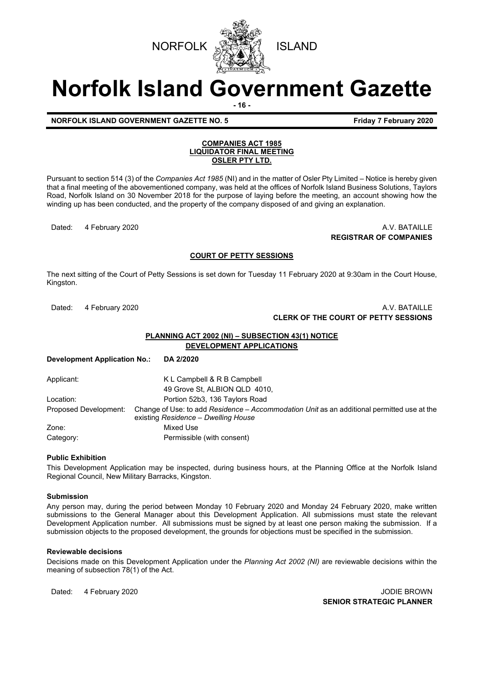



# **Norfolk Island Government Gazette**

**- 16 -**

### **NORFOLK ISLAND GOVERNMENT GAZETTE NO. 5 FIGULARY 1998 Friday 7 February 2020**

#### **COMPANIES ACT 1985 LIQUIDATOR FINAL MEETING OSLER PTY LTD.**

Pursuant to section 514 (3) of the *Companies Act 1985* (NI) and in the matter of Osler Pty Limited – Notice is hereby given that a final meeting of the abovementioned company, was held at the offices of Norfolk Island Business Solutions, Taylors Road, Norfolk Island on 30 November 2018 for the purpose of laying before the meeting, an account showing how the winding up has been conducted, and the property of the company disposed of and giving an explanation.

Dated: 4 February 2020 **A.V. BATAILLE REGISTRAR OF COMPANIES**

## **COURT OF PETTY SESSIONS**

The next sitting of the Court of Petty Sessions is set down for Tuesday 11 February 2020 at 9:30am in the Court House, Kingston.

### Dated: 4 February 2020 **A.V. BATAILLE CLERK OF THE COURT OF PETTY SESSIONS**

## **PLANNING ACT 2002 (NI) – SUBSECTION 43(1) NOTICE DEVELOPMENT APPLICATIONS**

**Development Application No.: DA 2/2020**

Applicant: K L Campbell & R B Campbell 49 Grove St, ALBION QLD 4010, Location: Portion 52b3, 136 Taylors Road Proposed Development: Change of Use: to add *Residence – Accommodation Unit* as an additional permitted use at the existing *Residence – Dwelling House* Zone: Mixed Use Category: Permissible (with consent)

#### **Public Exhibition**

This Development Application may be inspected, during business hours, at the Planning Office at the Norfolk Island Regional Council, New Military Barracks, Kingston.

#### **Submission**

Any person may, during the period between Monday 10 February 2020 and Monday 24 February 2020, make written submissions to the General Manager about this Development Application. All submissions must state the relevant Development Application number. All submissions must be signed by at least one person making the submission. If a submission objects to the proposed development, the grounds for objections must be specified in the submission.

#### **Reviewable decisions**

Decisions made on this Development Application under the *Planning Act 2002 (NI)* are reviewable decisions within the meaning of subsection 78(1) of the Act.

Dated: 4 February 2020 **JODIE BROWN SENIOR STRATEGIC PLANNER**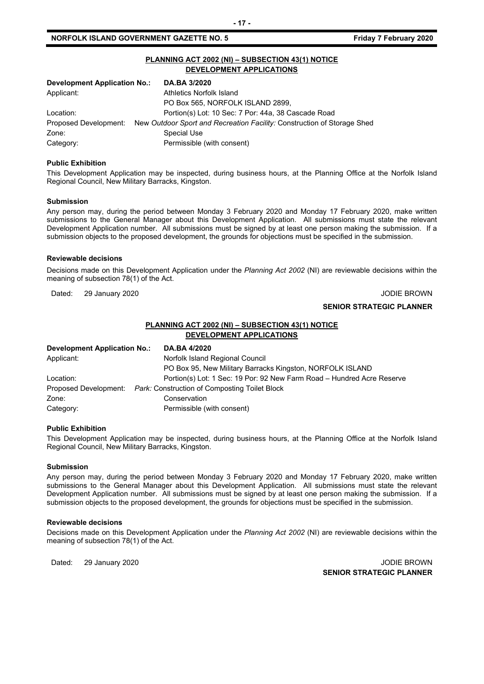#### **NORFOLK ISLAND GOVERNMENT GAZETTE NO. 5** *CONSERVERSIVE SERVERS FRIGAL FRIGAV 7 February 2020*

## **PLANNING ACT 2002 (NI) – SUBSECTION 43(1) NOTICE DEVELOPMENT APPLICATIONS**

| Development Application No.: | <b>DA.BA 3/2020</b>                                                     |
|------------------------------|-------------------------------------------------------------------------|
| Applicant:                   | Athletics Norfolk Island                                                |
|                              | PO Box 565, NORFOLK ISLAND 2899,                                        |
| Location:                    | Portion(s) Lot: 10 Sec: 7 Por: 44a, 38 Cascade Road                     |
| Proposed Development:        | New Outdoor Sport and Recreation Facility: Construction of Storage Shed |
| Zone:                        | Special Use                                                             |
| Category:                    | Permissible (with consent)                                              |

#### **Public Exhibition**

This Development Application may be inspected, during business hours, at the Planning Office at the Norfolk Island Regional Council, New Military Barracks, Kingston.

#### **Submission**

Any person may, during the period between Monday 3 February 2020 and Monday 17 February 2020, make written submissions to the General Manager about this Development Application. All submissions must state the relevant Development Application number. All submissions must be signed by at least one person making the submission. If a submission objects to the proposed development, the grounds for objections must be specified in the submission.

#### **Reviewable decisions**

Decisions made on this Development Application under the *Planning Act 2002* (NI) are reviewable decisions within the meaning of subsection 78(1) of the Act.

Dated: 29 January 2020 **John Communist Communist Communist Communist Communist Communist Communist Communist Communist Communist Communist Communist Communist Communist Communist Communist Communist Communist Communist Com** 

## **SENIOR STRATEGIC PLANNER**

## **PLANNING ACT 2002 (NI) – SUBSECTION 43(1) NOTICE DEVELOPMENT APPLICATIONS**

| Development Application No.: | DA.BA 4/2020                                                           |
|------------------------------|------------------------------------------------------------------------|
| Applicant:                   | Norfolk Island Regional Council                                        |
|                              | PO Box 95, New Military Barracks Kingston, NORFOLK ISLAND              |
| Location:                    | Portion(s) Lot: 1 Sec: 19 Por: 92 New Farm Road – Hundred Acre Reserve |
|                              | Proposed Development: Park: Construction of Composting Toilet Block    |
| Zone:                        | Conservation                                                           |
| Category:                    | Permissible (with consent)                                             |

#### **Public Exhibition**

This Development Application may be inspected, during business hours, at the Planning Office at the Norfolk Island Regional Council, New Military Barracks, Kingston.

#### **Submission**

Any person may, during the period between Monday 3 February 2020 and Monday 17 February 2020, make written submissions to the General Manager about this Development Application. All submissions must state the relevant Development Application number. All submissions must be signed by at least one person making the submission. If a submission objects to the proposed development, the grounds for objections must be specified in the submission.

#### **Reviewable decisions**

Decisions made on this Development Application under the *Planning Act 2002* (NI) are reviewable decisions within the meaning of subsection 78(1) of the Act.

Dated: 29 January 2020 **John Charles and Charles Control Control Control Control Control Control Control Control Control Control Control Control Control Control Control Control Control Control Control Control Control Contr SENIOR STRATEGIC PLANNER**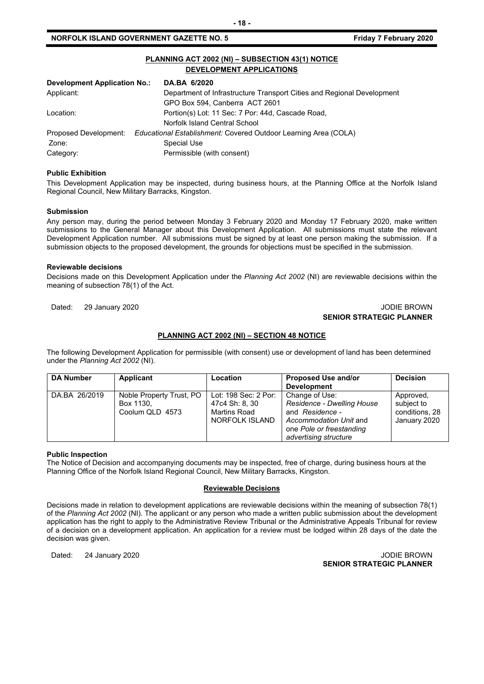## **NORFOLK ISLAND GOVERNMENT GAZETTE NO. 5** *CONTRETE 10. SECUREM 2020*

| PLANNING ACT 2002 (NI) - SUBSECTION 43(1) NOTICE<br>DEVELOPMENT APPLICATIONS |                                                                        |  |
|------------------------------------------------------------------------------|------------------------------------------------------------------------|--|
| Development Application No.:                                                 | DA.BA 6/2020                                                           |  |
| Applicant:                                                                   | Department of Infrastructure Transport Cities and Regional Development |  |
|                                                                              | GPO Box 594, Canberra ACT 2601                                         |  |
| Location:                                                                    | Portion(s) Lot: 11 Sec: 7 Por: 44d, Cascade Road,                      |  |
|                                                                              | Norfolk Island Central School                                          |  |
| Proposed Development:                                                        | Educational Establishment: Covered Outdoor Learning Area (COLA)        |  |
| Zone:                                                                        | Special Use                                                            |  |
| Category:                                                                    | Permissible (with consent)                                             |  |

#### **Public Exhibition**

This Development Application may be inspected, during business hours, at the Planning Office at the Norfolk Island Regional Council, New Military Barracks, Kingston.

#### **Submission**

Any person may, during the period between Monday 3 February 2020 and Monday 17 February 2020, make written submissions to the General Manager about this Development Application. All submissions must state the relevant Development Application number. All submissions must be signed by at least one person making the submission. If a submission objects to the proposed development, the grounds for objections must be specified in the submission.

#### **Reviewable decisions**

Decisions made on this Development Application under the *Planning Act 2002* (NI) are reviewable decisions within the meaning of subsection 78(1) of the Act.

#### Dated: 29 January 2020 **John Charles Controller Studies and Studies Controller Studies and Studies and Studies A SENIOR STRATEGIC PLANNER**

## **PLANNING ACT 2002 (NI) – SECTION 48 NOTICE**

The following Development Application for permissible (with consent) use or development of land has been determined under the *Planning Act 2002* (NI)*.*

| <b>DA Number</b> | Applicant                                                | Location                                                                 | Proposed Use and/or<br><b>Development</b>                                                                                                      | <b>Decision</b>                                           |
|------------------|----------------------------------------------------------|--------------------------------------------------------------------------|------------------------------------------------------------------------------------------------------------------------------------------------|-----------------------------------------------------------|
| DA.BA 26/2019    | Noble Property Trust, PO<br>Box 1130.<br>Coolum QLD 4573 | Lot: 198 Sec: 2 Por:<br>47c4 Sh: 8, 30<br>Martins Road<br>NORFOLK ISLAND | Change of Use:<br>Residence - Dwelling House<br>and Residence -<br>Accommodation Unit and<br>one Pole or freestanding<br>advertising structure | Approved,<br>subject to<br>conditions, 28<br>January 2020 |

#### **Public Inspection**

The Notice of Decision and accompanying documents may be inspected, free of charge, during business hours at the Planning Office of the Norfolk Island Regional Council, New Military Barracks, Kingston.

#### **Reviewable Decisions**

Decisions made in relation to development applications are reviewable decisions within the meaning of subsection 78(1) of the *Planning Act 2002* (NI)*.* The applicant or any person who made a written public submission about the development application has the right to apply to the Administrative Review Tribunal or the Administrative Appeals Tribunal for review of a decision on a development application. An application for a review must be lodged within 28 days of the date the decision was given.

Dated: 24 January 2020 **John Charles Community Community Community** Community Community Community Community Community Community Community Community Community Community Community Community Community Community Community Comm **SENIOR STRATEGIC PLANNER**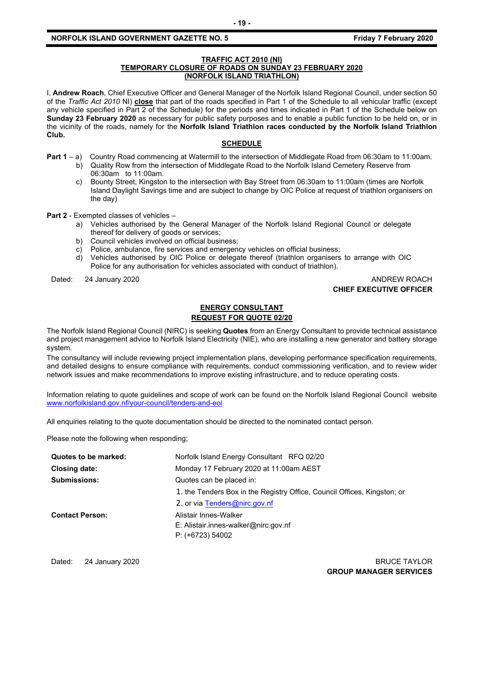#### **NORFOLK ISLAND GOVERNMENT GAZETTE NO. 5** *CONTRETE 10. SECUREM 2020*

#### **TRAFFIC ACT 2010 (NI) TEMPORARY CLOSURE OF ROADS ON SUNDAY 23 FEBRUARY 2020 (NORFOLK ISLAND TRIATHLON)**

I, **Andrew Roach**, Chief Executive Officer and General Manager of the Norfolk Island Regional Council, under section 50 of the *Traffic Act 2010* NI) **close** that part of the roads specified in Part 1 of the Schedule to all vehicular traffic (except any vehicle specified in Part 2 of the Schedule) for the periods and times indicated in Part 1 of the Schedule below on **Sunday 23 February 2020** as necessary for public safety purposes and to enable a public function to be held on, or in the vicinity of the roads, namely for the **Norfolk Island Triathlon races conducted by the Norfolk Island Triathlon Club.**

## **SCHEDULE**

- **Part 1** a) Country Road commencing at Watermill to the intersection of Middlegate Road from 06:30am to 11:00am. b) Quality Row from the intersection of Middlegate Road to the Norfolk Island Cemetery Reserve from 06:30am to 11:00am.
	- c) Bounty Street, Kingston to the intersection with Bay Street from 06:30am to 11:00am (times are Norfolk Island Daylight Savings time and are subject to change by OIC Police at request of triathlon organisers on the day)

**Part 2** - Exempted classes of vehicles –

- a) Vehicles authorised by the General Manager of the Norfolk Island Regional Council or delegate thereof for delivery of goods or services;
- b) Council vehicles involved on official business;
- c) Police, ambulance, fire services and emergency vehicles on official business;
- d) Vehicles authorised by OIC Police or delegate thereof (triathlon organisers to arrange with OIC Police for any authorisation for vehicles associated with conduct of triathlon).

Dated: 24 January 2020 **ANDREW ROACH** 

## **CHIEF EXECUTIVE OFFICER**

## **ENERGY CONSULTANT REQUEST FOR QUOTE 02/20**

The Norfolk Island Regional Council (NIRC) is seeking **Quotes** from an Energy Consultant to provide technical assistance and project management advice to Norfolk Island Electricity (NIE), who are installing a new generator and battery storage system.

The consultancy will include reviewing project implementation plans, developing performance specification requirements, and detailed designs to ensure compliance with requirements, conduct commissioning verification, and to review wider network issues and make recommendations to improve existing infrastructure, and to reduce operating costs.

Information relating to quote guidelines and scope of work can be found on the Norfolk Island Regional Council website [www.norfolkisland.gov.nf/your-council/tenders-and-eoi](http://www.norfolkisland.gov.nf/your-council/tenders-and-eoi)

All enquiries relating to the quote documentation should be directed to the nominated contact person.

Please note the following when responding;

| Quotes to be marked:   | Norfolk Island Energy Consultant RFQ 02/20                                          |  |
|------------------------|-------------------------------------------------------------------------------------|--|
| Closing date:          | Monday 17 February 2020 at 11:00am AEST                                             |  |
| <b>Submissions:</b>    | Quotes can be placed in:                                                            |  |
|                        | 1. the Tenders Box in the Registry Office, Council Offices, Kingston; or            |  |
|                        | 2. or via Tenders@nirc.gov.nf                                                       |  |
| <b>Contact Person:</b> | Alistair Innes-Walker<br>E: Alistair.innes-walker@nirc.gov.nf<br>$P: (+6723) 54002$ |  |

Dated: 24 January 2020 **BRUCE TAYLOR GROUP MANAGER SERVICES**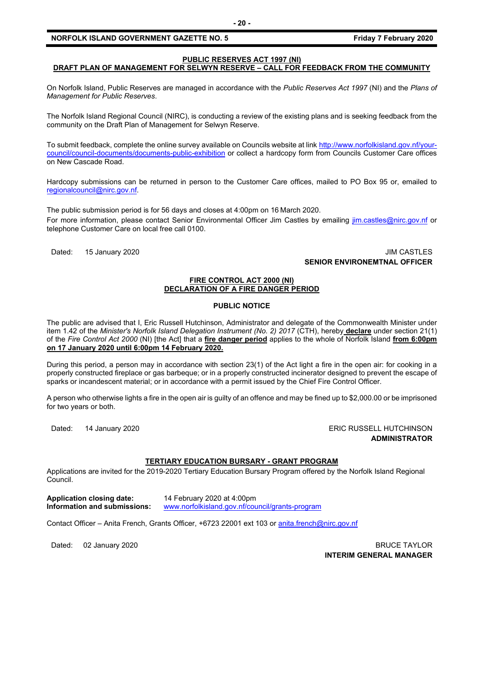# **PUBLIC RESERVES ACT 1997 (NI)**

## **DRAFT PLAN OF MANAGEMENT FOR SELWYN RESERVE – CALL FOR FEEDBACK FROM THE COMMUNITY**

On Norfolk Island, Public Reserves are managed in accordance with the *Public Reserves Act 1997* (NI) and the *Plans of Management for Public Reserves*.

The Norfolk Island Regional Council (NIRC), is conducting a review of the existing plans and is seeking feedback from the community on the Draft Plan of Management for Selwyn Reserve.

To submit feedback, complete the online survey available on Councils website at link [http://www.norfolkisland.gov.nf/your](http://www.norfolkisland.gov.nf/your-council/council-documents/documents-public-exhibition)[council/council-documents/documents-public-exhibition](http://www.norfolkisland.gov.nf/your-council/council-documents/documents-public-exhibition) or collect a hardcopy form from Councils Customer Care offices on New Cascade Road.

Hardcopy submissions can be returned in person to the Customer Care offices, mailed to PO Box 95 or, emailed to [regionalcouncil@nirc.gov.nf.](mailto:regionalcouncil@nirc.gov.nf)

The public submission period is for 56 days and closes at 4:00pm on 16 March 2020. For more information, please contact Senior Environmental Officer Jim Castles by emailing [jim.castles@nirc.gov.nf](mailto:jim.castles@nirc.gov.nf) or telephone Customer Care on local free call 0100.

Dated: 15 January 2020 **Dates: 15 January 2020 SENIOR ENVIRONEMTNAL OFFICER**

#### **FIRE CONTROL ACT 2000 (NI) DECLARATION OF A FIRE DANGER PERIOD**

#### **PUBLIC NOTICE**

The public are advised that I, Eric Russell Hutchinson, Administrator and delegate of the Commonwealth Minister under item 1.42 of the *Minister's Norfolk Island Delegation Instrument (No. 2) 2017* (CTH), hereby **declare** under section 21(1) of the *Fire Control Act 2000* (NI) [the Act] that a **fire danger period** applies to the whole of Norfolk Island **from 6:00pm on 17 January 2020 until 6:00pm 14 February 2020.**

During this period, a person may in accordance with section 23(1) of the Act light a fire in the open air: for cooking in a properly constructed fireplace or gas barbeque; or in a properly constructed incinerator designed to prevent the escape of sparks or incandescent material; or in accordance with a permit issued by the Chief Fire Control Officer.

A person who otherwise lights a fire in the open air is guilty of an offence and may be fined up to \$2,000.00 or be imprisoned for two years or both.

Dated: 14 January 2020 **ERIC RUSSELL HUTCHINSON ADMINISTRATOR**

## **TERTIARY EDUCATION BURSARY - GRANT PROGRAM**

Applications are invited for the 2019-2020 Tertiary Education Bursary Program offered by the Norfolk Island Regional Council.

**Application closing date:** 14 February 2020 at 4:00pm

**Information and submissions:** [www.norfolkisland.gov.nf/council/grants-program](http://www.norfolkisland.gov.nf/council/grants-program)

Contact Officer – Anita French, Grants Officer, +6723 22001 ext 103 o[r anita.french@nirc.gov.nf](mailto:anita.french@nirc.gov.nf)

Dated: 02 January 2020 **BRUCE TAYLOR INTERIM GENERAL MANAGER**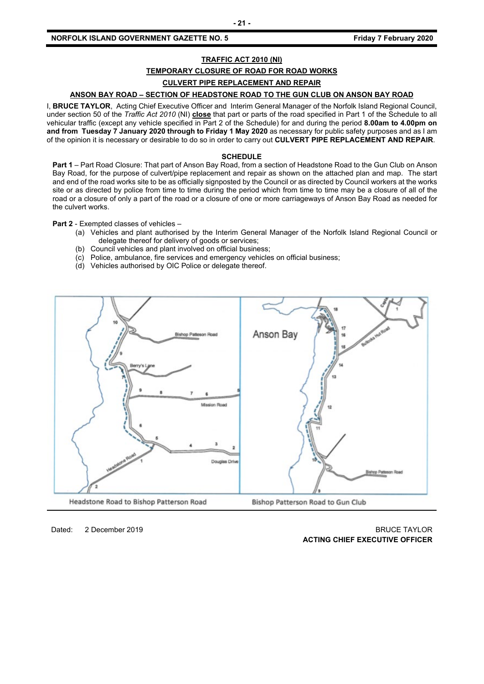#### **NORFOLK ISLAND GOVERNMENT GAZETTE NO. 5** *CONTRETE 10. 5**Friday 7 February 2020*

## **TRAFFIC ACT 2010 (NI)**

## **TEMPORARY CLOSURE OF ROAD FOR ROAD WORKS**

# **CULVERT PIPE REPLACEMENT AND REPAIR**

## **ANSON BAY ROAD – SECTION OF HEADSTONE ROAD TO THE GUN CLUB ON ANSON BAY ROAD**

I, **BRUCE TAYLOR**, Acting Chief Executive Officer and Interim General Manager of the Norfolk Island Regional Council, under section 50 of the *Traffic Act 2010* (NI) **close** that part or parts of the road specified in Part 1 of the Schedule to all vehicular traffic (except any vehicle specified in Part 2 of the Schedule) for and during the period **8.00am to 4.00pm on and from Tuesday 7 January 2020 through to Friday 1 May 2020** as necessary for public safety purposes and as I am of the opinion it is necessary or desirable to do so in order to carry out **CULVERT PIPE REPLACEMENT AND REPAIR**.

#### **SCHEDULE**

**Part 1** – Part Road Closure: That part of Anson Bay Road, from a section of Headstone Road to the Gun Club on Anson Bay Road, for the purpose of culvert/pipe replacement and repair as shown on the attached plan and map. The start and end of the road works site to be as officially signposted by the Council or as directed by Council workers at the works site or as directed by police from time to time during the period which from time to time may be a closure of all of the road or a closure of only a part of the road or a closure of one or more carriageways of Anson Bay Road as needed for the culvert works.

**Part 2** - Exempted classes of vehicles –

- (a) Vehicles and plant authorised by the Interim General Manager of the Norfolk Island Regional Council or delegate thereof for delivery of goods or services;
- (b) Council vehicles and plant involved on official business;
- (c) Police, ambulance, fire services and emergency vehicles on official business;
- (d) Vehicles authorised by OIC Police or delegate thereof.



## Dated: 2 December 2019 BRUCE TAYLOR **ACTING CHIEF EXECUTIVE OFFICER**